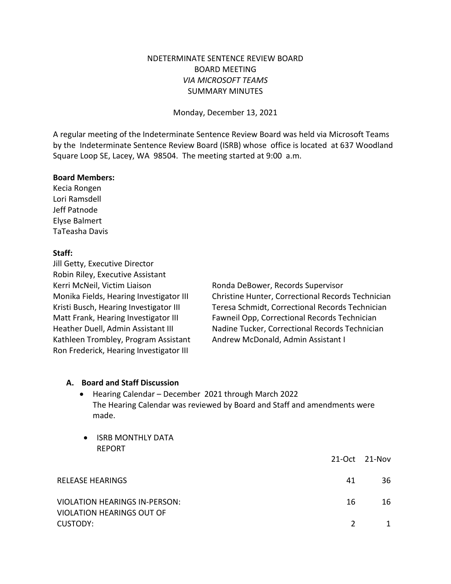# NDETERMINATE SENTENCE REVIEW BOARD BOARD MEETING *VIA MICROSOFT TEAMS* SUMMARY MINUTES

Monday, December 13, 2021

A regular meeting of the Indeterminate Sentence Review Board was held via Microsoft Teams by the Indeterminate Sentence Review Board (ISRB) whose office is located at 637 Woodland Square Loop SE, Lacey, WA 98504. The meeting started at 9:00 a.m.

#### **Board Members:**

Kecia Rongen Lori Ramsdell Jeff Patnode Elyse Balmert TaTeasha Davis

#### **Staff:**

Jill Getty, Executive Director Robin Riley, Executive Assistant Kerri McNeil, Victim Liaison Ronda DeBower, Records Supervisor Kathleen Trombley, Program Assistant Andrew McDonald, Admin Assistant I Ron Frederick, Hearing Investigator III

Monika Fields, Hearing Investigator III Christine Hunter, Correctional Records Technician Kristi Busch, Hearing Investigator III Teresa Schmidt, Correctional Records Technician Matt Frank, Hearing Investigator III Fawneil Opp, Correctional Records Technician Heather Duell, Admin Assistant III Nadine Tucker, Correctional Records Technician

#### **A. Board and Staff Discussion**

- Hearing Calendar December 2021 through March 2022 The Hearing Calendar was reviewed by Board and Staff and amendments were made.
- ISRB MONTHLY DATA REPORT 21-Oct 21-Nov RELEASE HEARINGS 41 36 VIOLATION HEARINGS IN-PERSON: 16 16 16 16 VIOLATION HEARINGS OUT OF CUSTODY: 2 1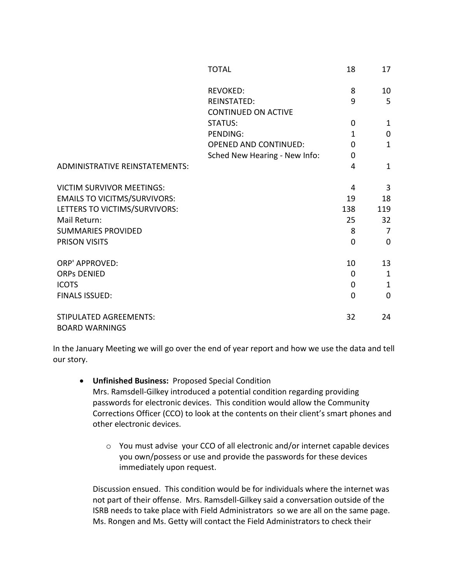|                                                        | <b>TOTAL</b>                  | 18           | 17             |
|--------------------------------------------------------|-------------------------------|--------------|----------------|
|                                                        | <b>REVOKED:</b>               | 8            | 10             |
|                                                        | <b>REINSTATED:</b>            | 9            | 5              |
|                                                        | <b>CONTINUED ON ACTIVE</b>    |              |                |
|                                                        | <b>STATUS:</b>                | 0            | $\mathbf{1}$   |
|                                                        | <b>PENDING:</b>               | $\mathbf{1}$ | 0              |
|                                                        | <b>OPENED AND CONTINUED:</b>  | $\Omega$     | $\mathbf{1}$   |
|                                                        | Sched New Hearing - New Info: | $\Omega$     |                |
| <b>ADMINISTRATIVE REINSTATEMENTS:</b>                  |                               | 4            | $\mathbf{1}$   |
| <b>VICTIM SURVIVOR MEETINGS:</b>                       |                               | 4            | 3              |
| <b>EMAILS TO VICITMS/SURVIVORS:</b>                    |                               | 19           | 18             |
| LETTERS TO VICTIMS/SURVIVORS:                          |                               | 138          | 119            |
| Mail Return:                                           |                               | 25           | 32             |
| <b>SUMMARIES PROVIDED</b>                              |                               | 8            | $\overline{7}$ |
| <b>PRISON VISITS</b>                                   |                               | $\mathbf 0$  | $\mathbf 0$    |
| <b>ORP' APPROVED:</b>                                  |                               | 10           | 13             |
| <b>ORPs DENIED</b>                                     |                               | $\Omega$     | $\mathbf{1}$   |
| <b>ICOTS</b>                                           |                               | 0            | $\mathbf{1}$   |
| <b>FINALS ISSUED:</b>                                  |                               | 0            | 0              |
| <b>STIPULATED AGREEMENTS:</b><br><b>BOARD WARNINGS</b> |                               | 32           | 24             |
|                                                        |                               |              |                |

In the January Meeting we will go over the end of year report and how we use the data and tell our story.

- **Unfinished Business:** Proposed Special Condition Mrs. Ramsdell-Gilkey introduced a potential condition regarding providing passwords for electronic devices. This condition would allow the Community Corrections Officer (CCO) to look at the contents on their client's smart phones and other electronic devices.
	- o You must advise your CCO of all electronic and/or internet capable devices you own/possess or use and provide the passwords for these devices immediately upon request.

Discussion ensued. This condition would be for individuals where the internet was not part of their offense. Mrs. Ramsdell-Gilkey said a conversation outside of the ISRB needs to take place with Field Administrators so we are all on the same page. Ms. Rongen and Ms. Getty will contact the Field Administrators to check their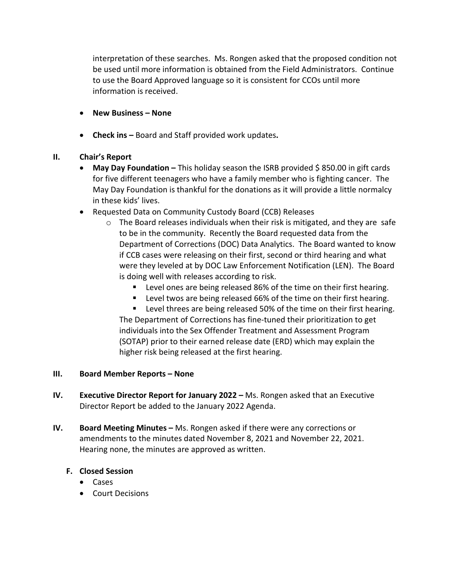interpretation of these searches. Ms. Rongen asked that the proposed condition not be used until more information is obtained from the Field Administrators. Continue to use the Board Approved language so it is consistent for CCOs until more information is received.

- **New Business – None**
- **Check ins –** Board and Staff provided work updates**.**

# **II. Chair's Report**

- May Day Foundation This holiday season the ISRB provided \$850.00 in gift cards for five different teenagers who have a family member who is fighting cancer. The May Day Foundation is thankful for the donations as it will provide a little normalcy in these kids' lives.
- Requested Data on Community Custody Board (CCB) Releases
	- o The Board releases individuals when their risk is mitigated, and they are safe to be in the community. Recently the Board requested data from the Department of Corrections (DOC) Data Analytics. The Board wanted to know if CCB cases were releasing on their first, second or third hearing and what were they leveled at by DOC Law Enforcement Notification (LEN). The Board is doing well with releases according to risk.
		- **EXECTE 10.** Level ones are being released 86% of the time on their first hearing.
		- **EXECT** Level twos are being released 66% of the time on their first hearing.

**EXECTE:** Level threes are being released 50% of the time on their first hearing. The Department of Corrections has fine-tuned their prioritization to get individuals into the Sex Offender Treatment and Assessment Program (SOTAP) prior to their earned release date (ERD) which may explain the higher risk being released at the first hearing.

### **III. Board Member Reports – None**

- **IV. Executive Director Report for January 2022 –** Ms. Rongen asked that an Executive Director Report be added to the January 2022 Agenda.
- **IV. Board Meeting Minutes –** Ms. Rongen asked if there were any corrections or amendments to the minutes dated November 8, 2021 and November 22, 2021. Hearing none, the minutes are approved as written.

# **F. Closed Session**

- Cases
- Court Decisions